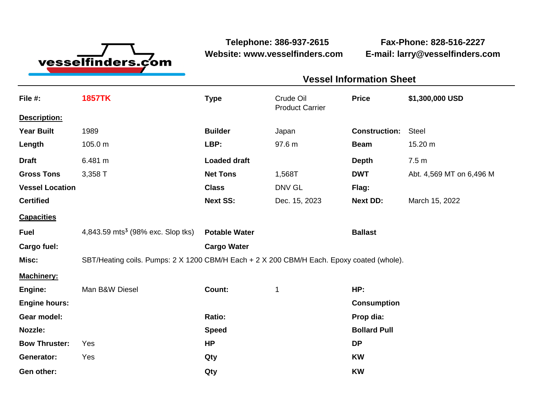

**Website: www.vesselfinders.com E-mail: larry@vesselfinders.com**

**Telephone: 386-937-2615 Fax-Phone: 828-516-2227**

| Crude Oil <b>Price</b> 51,300,000 USD<br>Product Carrier     |
|--------------------------------------------------------------|
|                                                              |
|                                                              |
|                                                              |
| <b>Net Tons</b> 1,568T <b>DWT</b> Abt. 4,569 MT on 6,496 M   |
|                                                              |
| <b>Next SS:</b> Dec. 15, 2023 <b>Next DD:</b> March 15, 2022 |
|                                                              |
|                                                              |
|                                                              |
|                                                              |
|                                                              |
|                                                              |
|                                                              |
|                                                              |
|                                                              |
|                                                              |
|                                                              |